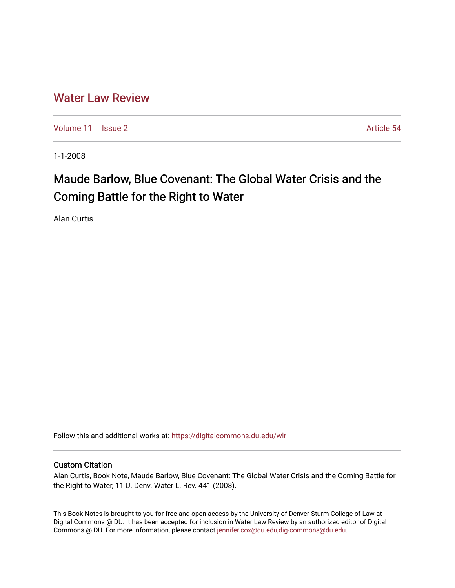## [Water Law Review](https://digitalcommons.du.edu/wlr)

[Volume 11](https://digitalcommons.du.edu/wlr/vol11) | [Issue 2](https://digitalcommons.du.edu/wlr/vol11/iss2) Article 54

1-1-2008

## Maude Barlow, Blue Covenant: The Global Water Crisis and the Coming Battle for the Right to Water

Alan Curtis

Follow this and additional works at: [https://digitalcommons.du.edu/wlr](https://digitalcommons.du.edu/wlr?utm_source=digitalcommons.du.edu%2Fwlr%2Fvol11%2Fiss2%2F54&utm_medium=PDF&utm_campaign=PDFCoverPages) 

## Custom Citation

Alan Curtis, Book Note, Maude Barlow, Blue Covenant: The Global Water Crisis and the Coming Battle for the Right to Water, 11 U. Denv. Water L. Rev. 441 (2008).

This Book Notes is brought to you for free and open access by the University of Denver Sturm College of Law at Digital Commons @ DU. It has been accepted for inclusion in Water Law Review by an authorized editor of Digital Commons @ DU. For more information, please contact [jennifer.cox@du.edu,dig-commons@du.edu.](mailto:jennifer.cox@du.edu,dig-commons@du.edu)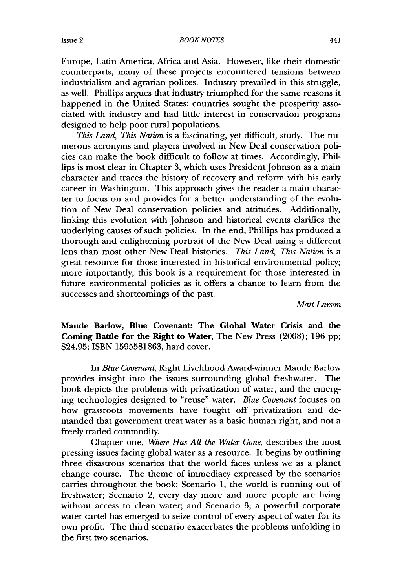*BOOK NOTES*

Europe, Latin America, Africa and Asia. However, like their domestic counterparts, many of these projects encountered tensions between industrialism and agrarian polices. Industry prevailed in this struggle, as well. Phillips argues that industry triumphed for the same reasons it happened in the United States: countries sought the prosperity associated with industry and had little interest in conservation programs designed to help poor rural populations.

*This Land, This Nation* is a fascinating, yet difficult, study. The numerous acronyms and players involved in New Deal conservation policies can make the book difficult to follow at times. Accordingly, Phillips is most clear in Chapter 3, which uses President Johnson as a main character and traces the history of recovery and reform with his early career in Washington. This approach gives the reader a main character to focus on and provides for a better understanding of the evolution of New Deal conservation policies and attitudes. Additionally, linking this evolution with Johnson and historical events clarifies the underlying causes of such policies. In the end, Phillips has produced a thorough and enlightening portrait of the New Deal using a different lens than most other New Deal histories. *This Land, This Nation* is a great resource for those interested in historical environmental policy; more importantly, this book is a requirement for those interested in future environmental policies as it offers a chance to learn from the successes and shortcomings of the past.

*Matt Larson*

Maude Barlow, Blue Covenant: The Global Water Crisis and the Coming Battle for the Right to Water, The New Press **(2008); 196 pp;** \$24.95; **ISBN 1595581863,** hard cover.

In *Blue Covenant,* Right Livelihood Award-winner Maude Barlow provides insight into the issues surrounding global freshwater. The book depicts the problems with privatization of water, and the emerging technologies designed to "reuse" water. *Blue Covenant* focuses on how grassroots movements have fought off privatization and demanded that government treat water as a basic human right, and not a freely traded commodity.

Chapter one, *Where Has All the Water Gone,* describes the most pressing issues facing global water as a resource. It begins by outlining three disastrous scenarios that the world faces unless we as a planet change course. The theme of immediacy expressed by the scenarios carries throughout the book: Scenario 1, the world is running out of freshwater; Scenario 2, every day more and more people are living without access to clean water; and Scenario 3, a powerful corporate water cartel has emerged to seize control of every aspect of water for its own profit. The third scenario exacerbates the problems unfolding in the first two scenarios.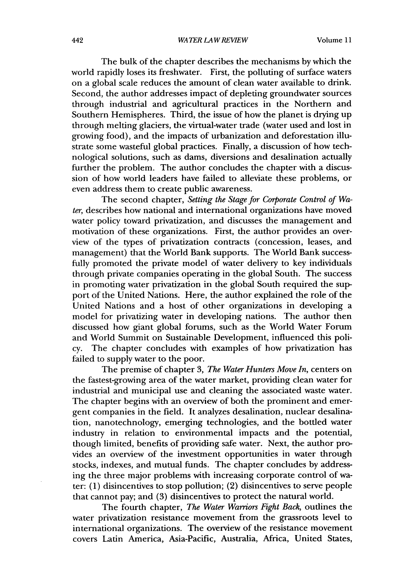The bulk of the chapter describes the mechanisms by which the world rapidly loses its freshwater. First, the polluting of surface waters on a global scale reduces the amount of clean water available to drink. Second, the author addresses impact of depleting groundwater sources through industrial and agricultural practices in the Northern and Southern Hemispheres. Third, the issue of how the planet is drying up through melting glaciers, the virtual-water trade (water used and lost in growing food), and the impacts of urbanization and deforestation illustrate some wasteful global practices. Finally, a discussion of how technological solutions, such as dams, diversions and desalination actually further the problem. The author concludes the chapter with a discussion of how world leaders have failed to alleviate these problems, or even address them to create public awareness.

The second chapter, *Setting the Stage for Corporate Control of Water,* describes how national and international organizations have moved water policy toward privatization, and discusses the management and motivation of these organizations. First, the author provides an overview of the types of privatization contracts (concession, leases, and management) that the World Bank supports. The World Bank successfully promoted the private model of water delivery to key individuals through private companies operating in the global South. The success in promoting water privatization in the global South required the support of the United Nations. Here, the author explained the role of the United Nations and a host of other organizations in developing a model for privatizing water in developing nations. The author then discussed how giant global forums, such as the World Water Forum and World Summit on Sustainable Development, influenced this policy. The chapter concludes with examples of how privatization has failed to supply water to the poor.

The premise of chapter 3, *The Water Hunters Move In,* centers on the fastest-growing area of the water market, providing clean water for industrial and municipal use and cleaning the associated waste water. The chapter begins with an overview of both the prominent and emergent companies in the field. It analyzes desalination, nuclear desalination, nanotechnology, emerging technologies, and the bottled water industry in relation to environmental impacts and the potential, though limited, benefits of providing safe water. Next, the author provides an overview of the investment opportunities in water through stocks, indexes, and mutual funds. The chapter concludes by addressing the three major problems with increasing corporate control of water: (1) disincentives to stop pollution; (2) disincentives to serve people that cannot pay; and (3) disincentives to protect the natural world.

The fourth chapter, *The Water Warriors Fight Back,* outlines the water privatization resistance movement from the grassroots level to international organizations. The overview of the resistance movement covers Latin America, Asia-Pacific, Australia, Africa, United States,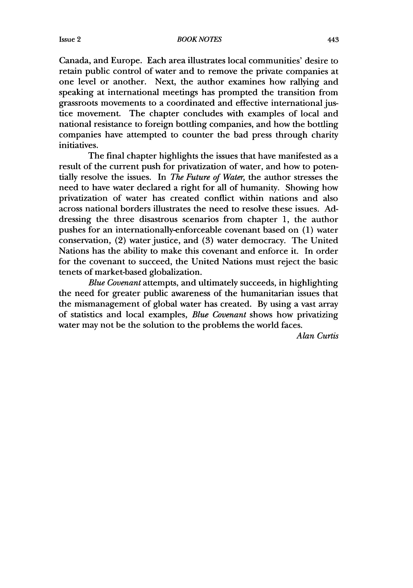*BOOK NOTES*

Canada, and Europe. Each area illustrates local communities' desire to retain public control of water and to remove the private companies at one level or another. Next, the author examines how rallying and speaking at international meetings has prompted the transition from grassroots movements to a coordinated and effective international justice movement. The chapter concludes with examples of local and national resistance to foreign bottling companies, and how the bottling companies have attempted to counter the bad press through charity initiatives.

The final chapter highlights the issues that have manifested as a result of the current push for privatization of water, and how to potentially resolve the issues. In *The Future of Water,* the author stresses the need to have water declared a right for all of humanity. Showing how privatization of water has created conflict within nations and also across national borders illustrates the need to resolve these issues. Addressing the three disastrous scenarios from chapter 1, the author pushes for an internationally-enforceable covenant based on (1) water conservation, (2) water justice, and (3) water democracy. The United Nations has the ability to make this covenant and enforce it. In order for the covenant to succeed, the United Nations must reject the basic tenets of market-based globalization.

*Blue Covenant* attempts, and ultimately succeeds, in highlighting the need for greater public awareness of the humanitarian issues that the mismanagement of global water has created. By using a vast array of statistics and local examples, *Blue Covenant* shows how privatizing water may not be the solution to the problems the world faces.

*Alan Curtis*